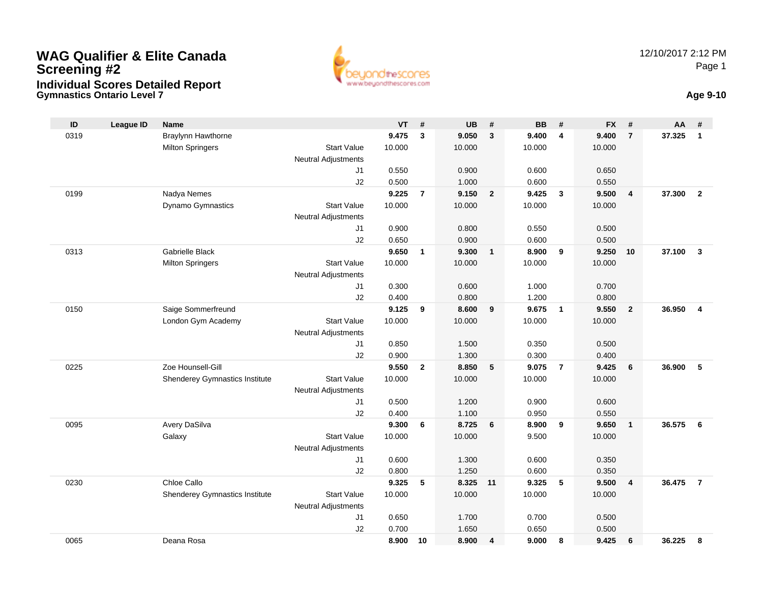# **Gymnastics Ontario Level 7 Age 9-10 WAG Qualifier & Elite Canada Screening #2Individual Scores Detailed Report**





| ID   | <b>League ID</b> | <b>Name</b>                    |                            | <b>VT</b>       | #              | <b>UB</b> | #              | <b>BB</b> | #                       | <b>FX</b> | #              | AA     | #              |
|------|------------------|--------------------------------|----------------------------|-----------------|----------------|-----------|----------------|-----------|-------------------------|-----------|----------------|--------|----------------|
| 0319 |                  | Braylynn Hawthorne             |                            | 9.475           | 3              | 9.050     | $\mathbf{3}$   | 9.400     | $\overline{\mathbf{4}}$ | 9.400     | $\overline{7}$ | 37.325 | $\mathbf{1}$   |
|      |                  | <b>Milton Springers</b>        | <b>Start Value</b>         | 10.000          |                | 10.000    |                | 10.000    |                         | 10.000    |                |        |                |
|      |                  |                                | Neutral Adjustments        |                 |                |           |                |           |                         |           |                |        |                |
|      |                  |                                | J1                         | 0.550           |                | 0.900     |                | 0.600     |                         | 0.650     |                |        |                |
|      |                  |                                | J2                         | 0.500           |                | 1.000     |                | 0.600     |                         | 0.550     |                |        |                |
| 0199 |                  | Nadya Nemes                    |                            | 9.225           | $\overline{7}$ | 9.150     | $\overline{2}$ | 9.425     | $\mathbf{3}$            | 9.500     | $\overline{4}$ | 37.300 | $\overline{2}$ |
|      |                  | Dynamo Gymnastics              | <b>Start Value</b>         | 10.000          |                | 10.000    |                | 10.000    |                         | 10.000    |                |        |                |
|      |                  |                                | Neutral Adjustments        |                 |                |           |                |           |                         |           |                |        |                |
|      |                  |                                | J1                         | 0.900           |                | 0.800     |                | 0.550     |                         | 0.500     |                |        |                |
|      |                  |                                | J2                         | 0.650           |                | 0.900     |                | 0.600     |                         | 0.500     |                |        |                |
| 0313 |                  | <b>Gabrielle Black</b>         |                            | 9.650           | $\mathbf{1}$   | 9.300     | $\mathbf{1}$   | 8.900     | 9                       | 9.250     | 10             | 37.100 | $\mathbf{3}$   |
|      |                  | <b>Milton Springers</b>        | <b>Start Value</b>         | 10.000          |                | 10.000    |                | 10.000    |                         | 10.000    |                |        |                |
|      |                  |                                | <b>Neutral Adjustments</b> |                 |                |           |                |           |                         |           |                |        |                |
|      |                  |                                | J1                         | 0.300           |                | 0.600     |                | 1.000     |                         | 0.700     |                |        |                |
|      |                  |                                | J2                         | 0.400           |                | 0.800     |                | 1.200     |                         | 0.800     |                |        |                |
| 0150 |                  | Saige Sommerfreund             | <b>Start Value</b>         | 9.125<br>10.000 | 9              | 8.600     | 9              | 9.675     | $\mathbf{1}$            | 9.550     | $\overline{2}$ | 36.950 | $\overline{4}$ |
|      |                  | London Gym Academy             | <b>Neutral Adjustments</b> |                 |                | 10.000    |                | 10.000    |                         | 10.000    |                |        |                |
|      |                  |                                | J1                         | 0.850           |                | 1.500     |                | 0.350     |                         | 0.500     |                |        |                |
|      |                  |                                | J2                         | 0.900           |                | 1.300     |                | 0.300     |                         | 0.400     |                |        |                |
| 0225 |                  | Zoe Hounsell-Gill              |                            | 9.550           | $\overline{2}$ | 8.850     | 5              | 9.075     | $\overline{7}$          | 9.425     | 6              | 36.900 | 5              |
|      |                  | Shenderey Gymnastics Institute | <b>Start Value</b>         | 10.000          |                | 10.000    |                | 10.000    |                         | 10.000    |                |        |                |
|      |                  |                                | Neutral Adjustments        |                 |                |           |                |           |                         |           |                |        |                |
|      |                  |                                | J1                         | 0.500           |                | 1.200     |                | 0.900     |                         | 0.600     |                |        |                |
|      |                  |                                | J2                         | 0.400           |                | 1.100     |                | 0.950     |                         | 0.550     |                |        |                |
| 0095 |                  | Avery DaSilva                  |                            | 9.300           | 6              | 8.725     | 6              | 8.900     | 9                       | 9.650     | $\overline{1}$ | 36.575 | - 6            |
|      |                  | Galaxy                         | <b>Start Value</b>         | 10.000          |                | 10.000    |                | 9.500     |                         | 10.000    |                |        |                |
|      |                  |                                | Neutral Adjustments        |                 |                |           |                |           |                         |           |                |        |                |
|      |                  |                                | J <sub>1</sub>             | 0.600           |                | 1.300     |                | 0.600     |                         | 0.350     |                |        |                |
|      |                  |                                | J2                         | 0.800           |                | 1.250     |                | 0.600     |                         | 0.350     |                |        |                |
| 0230 |                  | Chloe Callo                    |                            | 9.325           | 5              | 8.325     | 11             | 9.325     | 5                       | 9.500     | $\overline{4}$ | 36.475 | $\overline{7}$ |
|      |                  | Shenderey Gymnastics Institute | <b>Start Value</b>         | 10.000          |                | 10.000    |                | 10.000    |                         | 10.000    |                |        |                |
|      |                  |                                | <b>Neutral Adjustments</b> |                 |                |           |                |           |                         |           |                |        |                |
|      |                  |                                | J <sub>1</sub>             | 0.650           |                | 1.700     |                | 0.700     |                         | 0.500     |                |        |                |
|      |                  |                                | J2                         | 0.700           |                | 1.650     |                | 0.650     |                         | 0.500     |                |        |                |
| 0065 |                  | Deana Rosa                     |                            | 8.900           | 10             | 8.900     | 4              | 9.000     | 8                       | 9.425     | 6              | 36.225 | 8              |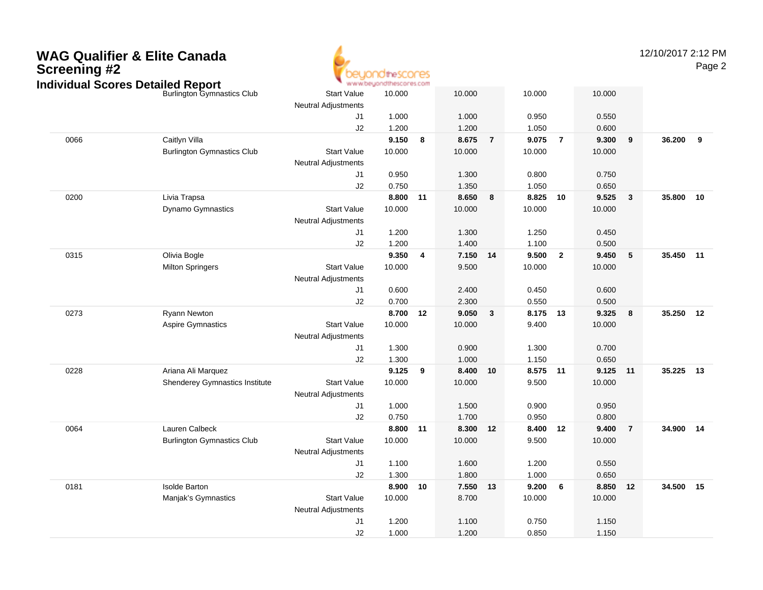

12/10/2017 2:12 PMPage 2

| ndividual Scores Detailed Report |                                   |                                                  | * www.beyondthescores.com |    |          |                |          |                |          |                         |           |    |
|----------------------------------|-----------------------------------|--------------------------------------------------|---------------------------|----|----------|----------------|----------|----------------|----------|-------------------------|-----------|----|
|                                  | <b>Burlington Gymnastics Club</b> | <b>Start Value</b><br><b>Neutral Adjustments</b> | 10.000                    |    | 10.000   |                | 10.000   |                | 10.000   |                         |           |    |
|                                  |                                   | J1                                               | 1.000                     |    | 1.000    |                | 0.950    |                | 0.550    |                         |           |    |
|                                  |                                   | J2                                               | 1.200                     |    | 1.200    |                | 1.050    |                | 0.600    |                         |           |    |
| 0066                             | Caitlyn Villa                     |                                                  | 9.150                     | 8  | 8.675    | $\overline{7}$ | 9.075    | $\overline{7}$ | 9.300    | $\overline{\mathbf{9}}$ | 36.200    | 9  |
|                                  | <b>Burlington Gymnastics Club</b> | <b>Start Value</b>                               | 10.000                    |    | 10.000   |                | 10.000   |                | 10.000   |                         |           |    |
|                                  |                                   | <b>Neutral Adjustments</b>                       |                           |    |          |                |          |                |          |                         |           |    |
|                                  |                                   | J <sub>1</sub>                                   | 0.950                     |    | 1.300    |                | 0.800    |                | 0.750    |                         |           |    |
|                                  |                                   | J2                                               | 0.750                     |    | 1.350    |                | 1.050    |                | 0.650    |                         |           |    |
| 0200                             | Livia Trapsa                      |                                                  | 8.800                     | 11 | 8.650    | 8              | 8.825 10 |                | 9.525    | $\overline{\mathbf{3}}$ | 35.800    | 10 |
|                                  | Dynamo Gymnastics                 | <b>Start Value</b>                               | 10.000                    |    | 10.000   |                | 10.000   |                | 10.000   |                         |           |    |
|                                  |                                   | <b>Neutral Adjustments</b>                       |                           |    |          |                |          |                |          |                         |           |    |
|                                  |                                   | J1                                               | 1.200                     |    | 1.300    |                | 1.250    |                | 0.450    |                         |           |    |
|                                  |                                   | J2                                               | 1.200                     |    | 1.400    |                | 1.100    |                | 0.500    |                         |           |    |
| 0315                             | Olivia Bogle                      |                                                  | 9.350                     | 4  | 7.150 14 |                | 9.500    | $\mathbf{2}$   | 9.450    | 5                       | 35.450 11 |    |
|                                  | <b>Milton Springers</b>           | <b>Start Value</b>                               | 10.000                    |    | 9.500    |                | 10.000   |                | 10.000   |                         |           |    |
|                                  |                                   | <b>Neutral Adjustments</b>                       |                           |    |          |                |          |                |          |                         |           |    |
|                                  |                                   | J1                                               | 0.600                     |    | 2.400    |                | 0.450    |                | 0.600    |                         |           |    |
|                                  |                                   | J2                                               | 0.700                     |    | 2.300    |                | 0.550    |                | 0.500    |                         |           |    |
| 0273                             | Ryann Newton                      |                                                  | 8.700                     | 12 | 9.050    | 3              | 8.175 13 |                | 9.325    | $\overline{\mathbf{8}}$ | 35.250    | 12 |
|                                  | <b>Aspire Gymnastics</b>          | <b>Start Value</b>                               | 10.000                    |    | 10.000   |                | 9.400    |                | 10.000   |                         |           |    |
|                                  |                                   | Neutral Adjustments                              |                           |    |          |                |          |                |          |                         |           |    |
|                                  |                                   | J1                                               | 1.300                     |    | 0.900    |                | 1.300    |                | 0.700    |                         |           |    |
|                                  |                                   | J2                                               | 1.300                     |    | 1.000    |                | 1.150    |                | 0.650    |                         |           |    |
| 0228                             | Ariana Ali Marquez                |                                                  | 9.125                     | 9  | 8.400    | 10             | 8.575 11 |                | 9.125 11 |                         | 35.225 13 |    |
|                                  | Shenderey Gymnastics Institute    | <b>Start Value</b>                               | 10.000                    |    | 10.000   |                | 9.500    |                | 10.000   |                         |           |    |
|                                  |                                   | <b>Neutral Adjustments</b>                       |                           |    |          |                |          |                |          |                         |           |    |
|                                  |                                   | J1                                               | 1.000                     |    | 1.500    |                | 0.900    |                | 0.950    |                         |           |    |
|                                  |                                   | J2                                               | 0.750                     |    | 1.700    |                | 0.950    |                | 0.800    |                         |           |    |
| 0064                             | Lauren Calbeck                    |                                                  | 8.800                     | 11 | 8.300    | 12             | 8.400    | 12             | 9.400    | $\overline{7}$          | 34.900 14 |    |
|                                  | <b>Burlington Gymnastics Club</b> | <b>Start Value</b>                               | 10.000                    |    | 10.000   |                | 9.500    |                | 10.000   |                         |           |    |
|                                  |                                   | <b>Neutral Adjustments</b>                       |                           |    |          |                |          |                |          |                         |           |    |
|                                  |                                   | J1                                               | 1.100                     |    | 1.600    |                | 1.200    |                | 0.550    |                         |           |    |
|                                  |                                   | J2                                               | 1.300                     |    | 1.800    |                | 1.000    |                | 0.650    |                         |           |    |
| 0181                             | <b>Isolde Barton</b>              |                                                  | 8.900                     | 10 | 7.550    | 13             | 9.200    | 6              | 8.850    | 12                      | 34.500    | 15 |
|                                  | Manjak's Gymnastics               | <b>Start Value</b>                               | 10.000                    |    | 8.700    |                | 10.000   |                | 10.000   |                         |           |    |
|                                  |                                   | <b>Neutral Adjustments</b>                       |                           |    |          |                |          |                |          |                         |           |    |
|                                  |                                   | J <sub>1</sub>                                   | 1.200                     |    | 1.100    |                | 0.750    |                | 1.150    |                         |           |    |
|                                  |                                   | J2                                               | 1.000                     |    | 1.200    |                | 0.850    |                | 1.150    |                         |           |    |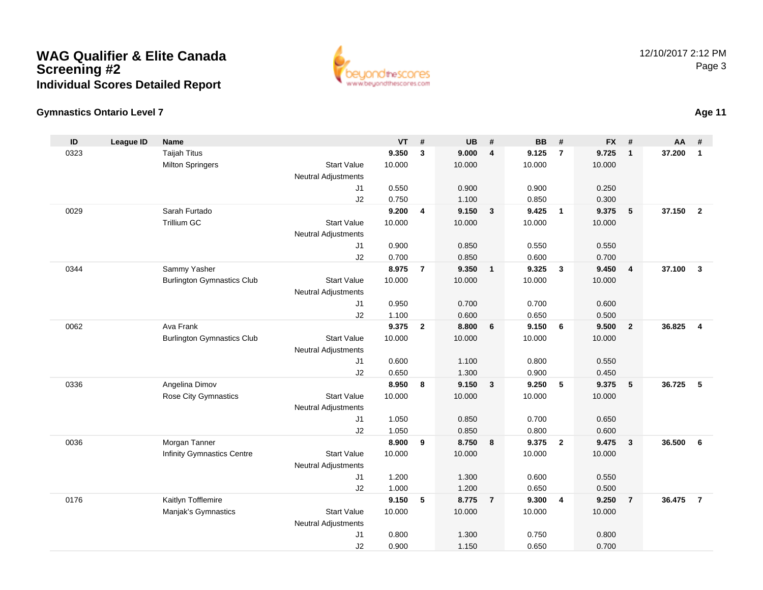

### **Gymnastics Ontario Level 7**

| ID   | <b>League ID</b> | <b>Name</b>                       |                            | <b>VT</b> | #              | <b>UB</b> | #                       | <b>BB</b> | #                       | <b>FX</b> | #                       | AA     | #                       |
|------|------------------|-----------------------------------|----------------------------|-----------|----------------|-----------|-------------------------|-----------|-------------------------|-----------|-------------------------|--------|-------------------------|
| 0323 |                  | <b>Taijah Titus</b>               |                            | 9.350     | 3              | 9.000     | $\overline{4}$          | 9.125     | $\overline{7}$          | 9.725     | $\mathbf{1}$            | 37.200 | $\mathbf{1}$            |
|      |                  | <b>Milton Springers</b>           | <b>Start Value</b>         | 10.000    |                | 10.000    |                         | 10.000    |                         | 10.000    |                         |        |                         |
|      |                  |                                   | <b>Neutral Adjustments</b> |           |                |           |                         |           |                         |           |                         |        |                         |
|      |                  |                                   | J1                         | 0.550     |                | 0.900     |                         | 0.900     |                         | 0.250     |                         |        |                         |
|      |                  |                                   | J2                         | 0.750     |                | 1.100     |                         | 0.850     |                         | 0.300     |                         |        |                         |
| 0029 |                  | Sarah Furtado                     |                            | 9.200     | 4              | 9.150     | $\mathbf{3}$            | 9.425     | $\overline{\mathbf{1}}$ | 9.375     | 5                       | 37.150 | $\overline{2}$          |
|      |                  | Trillium GC                       | <b>Start Value</b>         | 10.000    |                | 10.000    |                         | 10.000    |                         | 10.000    |                         |        |                         |
|      |                  |                                   | <b>Neutral Adjustments</b> |           |                |           |                         |           |                         |           |                         |        |                         |
|      |                  |                                   | J <sub>1</sub>             | 0.900     |                | 0.850     |                         | 0.550     |                         | 0.550     |                         |        |                         |
|      |                  |                                   | J2                         | 0.700     |                | 0.850     |                         | 0.600     |                         | 0.700     |                         |        |                         |
| 0344 |                  | Sammy Yasher                      |                            | 8.975     | $\overline{7}$ | 9.350     | $\overline{1}$          | 9.325     | $\overline{\mathbf{3}}$ | 9.450     | $\overline{\mathbf{4}}$ | 37.100 | $\mathbf{3}$            |
|      |                  | <b>Burlington Gymnastics Club</b> | <b>Start Value</b>         | 10.000    |                | 10.000    |                         | 10.000    |                         | 10.000    |                         |        |                         |
|      |                  |                                   | <b>Neutral Adjustments</b> |           |                |           |                         |           |                         |           |                         |        |                         |
|      |                  |                                   | J1                         | 0.950     |                | 0.700     |                         | 0.700     |                         | 0.600     |                         |        |                         |
|      |                  |                                   | J2                         | 1.100     |                | 0.600     |                         | 0.650     |                         | 0.500     |                         |        |                         |
| 0062 |                  | Ava Frank                         |                            | 9.375     | $\overline{2}$ | 8.800     | 6                       | 9.150     | 6                       | 9.500     | $\overline{2}$          | 36.825 | $\overline{\mathbf{4}}$ |
|      |                  | <b>Burlington Gymnastics Club</b> | <b>Start Value</b>         | 10.000    |                | 10.000    |                         | 10.000    |                         | 10.000    |                         |        |                         |
|      |                  |                                   | <b>Neutral Adjustments</b> |           |                |           |                         |           |                         |           |                         |        |                         |
|      |                  |                                   | J <sub>1</sub>             | 0.600     |                | 1.100     |                         | 0.800     |                         | 0.550     |                         |        |                         |
|      |                  |                                   | J2                         | 0.650     |                | 1.300     |                         | 0.900     |                         | 0.450     |                         |        |                         |
| 0336 |                  | Angelina Dimov                    |                            | 8.950     | 8              | 9.150     | $\overline{\mathbf{3}}$ | 9.250     | 5                       | 9.375     | 5                       | 36.725 | 5                       |
|      |                  | Rose City Gymnastics              | <b>Start Value</b>         | 10.000    |                | 10.000    |                         | 10.000    |                         | 10.000    |                         |        |                         |
|      |                  |                                   | <b>Neutral Adjustments</b> |           |                |           |                         |           |                         |           |                         |        |                         |
|      |                  |                                   | J1                         | 1.050     |                | 0.850     |                         | 0.700     |                         | 0.650     |                         |        |                         |
|      |                  |                                   | J2                         | 1.050     |                | 0.850     |                         | 0.800     |                         | 0.600     |                         |        |                         |
| 0036 |                  | Morgan Tanner                     |                            | 8.900     | 9              | 8.750     | $\boldsymbol{8}$        | 9.375     | $\overline{2}$          | 9.475     | $\mathbf{3}$            | 36.500 | 6                       |
|      |                  | <b>Infinity Gymnastics Centre</b> | <b>Start Value</b>         | 10.000    |                | 10.000    |                         | 10.000    |                         | 10.000    |                         |        |                         |
|      |                  |                                   | <b>Neutral Adjustments</b> |           |                |           |                         |           |                         |           |                         |        |                         |
|      |                  |                                   | J1                         | 1.200     |                | 1.300     |                         | 0.600     |                         | 0.550     |                         |        |                         |
|      |                  |                                   | J2                         | 1.000     |                | 1.200     |                         | 0.650     |                         | 0.500     |                         |        |                         |
| 0176 |                  | Kaitlyn Tofflemire                |                            | 9.150     | 5              | 8.775     | $\overline{7}$          | 9.300     | $\overline{4}$          | 9.250     | $\overline{7}$          | 36.475 | $\overline{7}$          |
|      |                  | Manjak's Gymnastics               | <b>Start Value</b>         | 10.000    |                | 10.000    |                         | 10.000    |                         | 10.000    |                         |        |                         |
|      |                  |                                   | <b>Neutral Adjustments</b> |           |                |           |                         |           |                         |           |                         |        |                         |
|      |                  |                                   | J <sub>1</sub>             | 0.800     |                | 1.300     |                         | 0.750     |                         | 0.800     |                         |        |                         |
|      |                  |                                   | J2                         | 0.900     |                | 1.150     |                         | 0.650     |                         | 0.700     |                         |        |                         |

# **Age 11**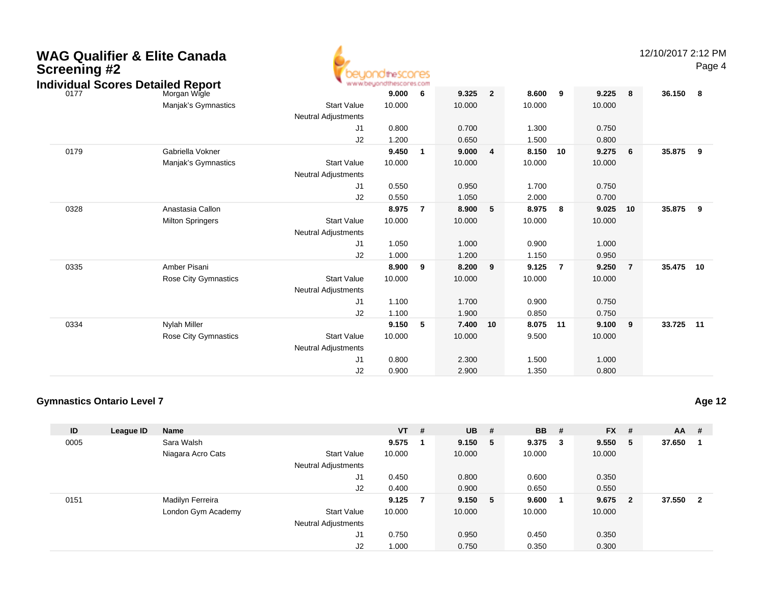| <b>WAG Qualifier &amp; Elite Canada</b><br><b>Screening #2</b><br><b>Individual Scores Detailed Report</b> |                         |                            | beuondthescores<br>www.beyondthescores.com |                |        |                |        |                |        |                | 12/10/2017 2:12 PM | Page 4 |
|------------------------------------------------------------------------------------------------------------|-------------------------|----------------------------|--------------------------------------------|----------------|--------|----------------|--------|----------------|--------|----------------|--------------------|--------|
| 0177                                                                                                       | Morgan Wigle            |                            | 9.000                                      | 6              | 9.325  | $\overline{2}$ | 8.600  | 9              | 9.225  | 8              | 36.150             | - 8    |
|                                                                                                            | Manjak's Gymnastics     | <b>Start Value</b>         | 10.000                                     |                | 10.000 |                | 10.000 |                | 10.000 |                |                    |        |
|                                                                                                            |                         | <b>Neutral Adjustments</b> |                                            |                |        |                |        |                |        |                |                    |        |
|                                                                                                            |                         | J1                         | 0.800                                      |                | 0.700  |                | 1.300  |                | 0.750  |                |                    |        |
|                                                                                                            |                         | J2                         | 1.200                                      |                | 0.650  |                | 1.500  |                | 0.800  |                |                    |        |
| 0179                                                                                                       | Gabriella Vokner        |                            | 9.450                                      | $\overline{1}$ | 9.000  | 4              | 8.150  | 10             | 9.275  | 6              | 35.875             | 9      |
|                                                                                                            | Manjak's Gymnastics     | <b>Start Value</b>         | 10.000                                     |                | 10.000 |                | 10.000 |                | 10.000 |                |                    |        |
|                                                                                                            |                         | Neutral Adjustments        |                                            |                |        |                |        |                |        |                |                    |        |
|                                                                                                            |                         | J1                         | 0.550                                      |                | 0.950  |                | 1.700  |                | 0.750  |                |                    |        |
|                                                                                                            |                         | J2                         | 0.550                                      |                | 1.050  |                | 2.000  |                | 0.700  |                |                    |        |
| 0328                                                                                                       | Anastasia Callon        |                            | 8.975                                      | $\overline{7}$ | 8.900  | 5              | 8.975  | 8              | 9.025  | 10             | 35.875             | 9      |
|                                                                                                            | <b>Milton Springers</b> | <b>Start Value</b>         | 10.000                                     |                | 10.000 |                | 10.000 |                | 10.000 |                |                    |        |
|                                                                                                            |                         | <b>Neutral Adjustments</b> |                                            |                |        |                |        |                |        |                |                    |        |
|                                                                                                            |                         | J1                         | 1.050                                      |                | 1.000  |                | 0.900  |                | 1.000  |                |                    |        |
|                                                                                                            |                         | J2                         | 1.000                                      |                | 1.200  |                | 1.150  |                | 0.950  |                |                    |        |
| 0335                                                                                                       | Amber Pisani            |                            | 8.900                                      | 9              | 8.200  | 9              | 9.125  | $\overline{7}$ | 9.250  | $\overline{7}$ | 35.475             | 10     |
|                                                                                                            | Rose City Gymnastics    | <b>Start Value</b>         | 10.000                                     |                | 10.000 |                | 10.000 |                | 10.000 |                |                    |        |
|                                                                                                            |                         | <b>Neutral Adjustments</b> |                                            |                |        |                |        |                |        |                |                    |        |
|                                                                                                            |                         | J1                         | 1.100                                      |                | 1.700  |                | 0.900  |                | 0.750  |                |                    |        |
|                                                                                                            |                         | J2                         | 1.100                                      |                | 1.900  |                | 0.850  |                | 0.750  |                |                    |        |
| 0334                                                                                                       | <b>Nylah Miller</b>     |                            | 9.150                                      | -5             | 7.400  | 10             | 8.075  | 11             | 9.100  | 9              | 33.725             | 11     |
|                                                                                                            | Rose City Gymnastics    | <b>Start Value</b>         | 10.000                                     |                | 10.000 |                | 9.500  |                | 10.000 |                |                    |        |
|                                                                                                            |                         | <b>Neutral Adjustments</b> |                                            |                |        |                |        |                |        |                |                    |        |
|                                                                                                            |                         | J1                         | 0.800                                      |                | 2.300  |                | 1.500  |                | 1.000  |                |                    |        |
|                                                                                                            |                         | J2                         | 0.900                                      |                | 2.900  |                | 1.350  |                | 0.800  |                |                    |        |

# **Gymnastics Ontario Level 7**

| ID   | League ID | <b>Name</b>        |                            | $VT$ # |   | $UB$ #  |   | <b>BB</b> | #   | <b>FX</b> | #                       | $AA$ # |                |
|------|-----------|--------------------|----------------------------|--------|---|---------|---|-----------|-----|-----------|-------------------------|--------|----------------|
| 0005 |           | Sara Walsh         |                            | 9.575  |   | 9.150   | 5 | 9.375     | - 3 | 9.550     | 5                       | 37.650 |                |
|      |           | Niagara Acro Cats  | <b>Start Value</b>         | 10.000 |   | 10.000  |   | 10.000    |     | 10.000    |                         |        |                |
|      |           |                    | <b>Neutral Adjustments</b> |        |   |         |   |           |     |           |                         |        |                |
|      |           |                    | J1                         | 0.450  |   | 0.800   |   | 0.600     |     | 0.350     |                         |        |                |
|      |           |                    | J <sub>2</sub>             | 0.400  |   | 0.900   |   | 0.650     |     | 0.550     |                         |        |                |
| 0151 |           | Madilyn Ferreira   |                            | 9.125  | 7 | 9.150 5 |   | 9.600     |     | 9.675     | $\overline{\mathbf{2}}$ | 37.550 | $\overline{2}$ |
|      |           | London Gym Academy | <b>Start Value</b>         | 10.000 |   | 10.000  |   | 10.000    |     | 10.000    |                         |        |                |
|      |           |                    | <b>Neutral Adjustments</b> |        |   |         |   |           |     |           |                         |        |                |
|      |           |                    | J1                         | 0.750  |   | 0.950   |   | 0.450     |     | 0.350     |                         |        |                |
|      |           |                    | J <sub>2</sub>             | 1.000  |   | 0.750   |   | 0.350     |     | 0.300     |                         |        |                |

**Age 12**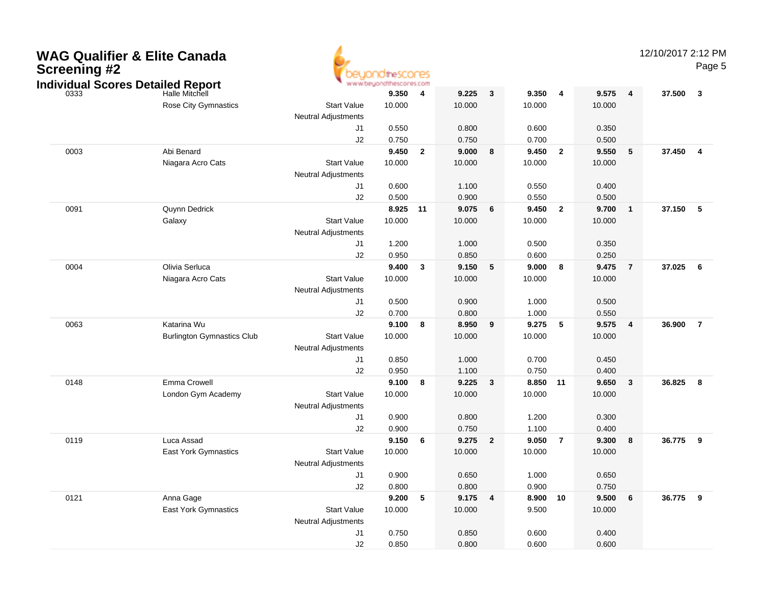| <b>WAG Qualifier &amp; Elite Canada</b><br><b>Screening #2</b><br><b>Individual Scores Detailed Report</b> |                                   |                            | theSCOMES |                         |        |                         |          |                |        |                | 12/10/2017 2:12 PM | Page 5                  |
|------------------------------------------------------------------------------------------------------------|-----------------------------------|----------------------------|-----------|-------------------------|--------|-------------------------|----------|----------------|--------|----------------|--------------------|-------------------------|
| 0333                                                                                                       | Halle Mitchell                    |                            | 9.350     | 4                       | 9.225  | $\mathbf{3}$            | 9.350    | 4              | 9.575  | 4              | 37.500             | $\mathbf{3}$            |
|                                                                                                            | <b>Rose City Gymnastics</b>       | <b>Start Value</b>         | 10.000    |                         | 10.000 |                         | 10.000   |                | 10.000 |                |                    |                         |
|                                                                                                            |                                   | <b>Neutral Adjustments</b> |           |                         |        |                         |          |                |        |                |                    |                         |
|                                                                                                            |                                   | J1                         | 0.550     |                         | 0.800  |                         | 0.600    |                | 0.350  |                |                    |                         |
|                                                                                                            |                                   | J2                         | 0.750     |                         | 0.750  |                         | 0.700    |                | 0.500  |                |                    |                         |
| 0003                                                                                                       | Abi Benard                        |                            | 9.450     | $\overline{\mathbf{2}}$ | 9.000  | 8                       | 9.450    | $\overline{2}$ | 9.550  | 5              | 37.450             | $\overline{\mathbf{4}}$ |
|                                                                                                            | Niagara Acro Cats                 | <b>Start Value</b>         | 10.000    |                         | 10.000 |                         | 10.000   |                | 10.000 |                |                    |                         |
|                                                                                                            |                                   | <b>Neutral Adjustments</b> |           |                         |        |                         |          |                |        |                |                    |                         |
|                                                                                                            |                                   | J1                         | 0.600     |                         | 1.100  |                         | 0.550    |                | 0.400  |                |                    |                         |
|                                                                                                            |                                   | J2                         | 0.500     |                         | 0.900  |                         | 0.550    |                | 0.500  |                |                    |                         |
| 0091                                                                                                       | Quynn Dedrick                     |                            | 8.925 11  |                         | 9.075  | 6                       | 9.450    | $\overline{2}$ | 9.700  | $\mathbf{1}$   | 37.150             | $-5$                    |
|                                                                                                            | Galaxy                            | <b>Start Value</b>         | 10.000    |                         | 10.000 |                         | 10.000   |                | 10.000 |                |                    |                         |
|                                                                                                            |                                   | <b>Neutral Adjustments</b> |           |                         |        |                         |          |                |        |                |                    |                         |
|                                                                                                            |                                   | J1                         | 1.200     |                         | 1.000  |                         | 0.500    |                | 0.350  |                |                    |                         |
|                                                                                                            |                                   | J2                         | 0.950     |                         | 0.850  |                         | 0.600    |                | 0.250  |                |                    |                         |
| 0004                                                                                                       | Olivia Serluca                    |                            | 9.400     | $\mathbf{3}$            | 9.150  | 5                       | 9.000    | 8              | 9.475  | $\overline{7}$ | 37.025             | 6                       |
|                                                                                                            | Niagara Acro Cats                 | <b>Start Value</b>         | 10.000    |                         | 10.000 |                         | 10.000   |                | 10.000 |                |                    |                         |
|                                                                                                            |                                   | <b>Neutral Adjustments</b> |           |                         |        |                         |          |                |        |                |                    |                         |
|                                                                                                            |                                   | J1                         | 0.500     |                         | 0.900  |                         | 1.000    |                | 0.500  |                |                    |                         |
|                                                                                                            |                                   | J2                         | 0.700     |                         | 0.800  |                         | 1.000    |                | 0.550  |                |                    |                         |
| 0063                                                                                                       | Katarina Wu                       |                            | 9.100     | 8                       | 8.950  | 9                       | 9.275    | 5              | 9.575  | 4              | 36.900             | $\overline{7}$          |
|                                                                                                            | <b>Burlington Gymnastics Club</b> | <b>Start Value</b>         | 10.000    |                         | 10.000 |                         | 10.000   |                | 10.000 |                |                    |                         |
|                                                                                                            |                                   | <b>Neutral Adjustments</b> |           |                         |        |                         |          |                |        |                |                    |                         |
|                                                                                                            |                                   | J1                         | 0.850     |                         | 1.000  |                         | 0.700    |                | 0.450  |                |                    |                         |
|                                                                                                            |                                   | J2                         | 0.950     |                         | 1.100  |                         | 0.750    |                | 0.400  |                |                    |                         |
| 0148                                                                                                       | Emma Crowell                      |                            | 9.100     | 8                       | 9.225  | 3                       | 8.850    | 11             | 9.650  | 3              | 36.825             | 8                       |
|                                                                                                            | London Gym Academy                | <b>Start Value</b>         | 10.000    |                         | 10.000 |                         | 10.000   |                | 10.000 |                |                    |                         |
|                                                                                                            |                                   | <b>Neutral Adjustments</b> |           |                         |        |                         |          |                |        |                |                    |                         |
|                                                                                                            |                                   | J1                         | 0.900     |                         | 0.800  |                         | 1.200    |                | 0.300  |                |                    |                         |
|                                                                                                            |                                   | J2                         | 0.900     |                         | 0.750  |                         | 1.100    |                | 0.400  |                |                    |                         |
| 0119                                                                                                       | Luca Assad                        |                            | 9.150     | - 6                     | 9.275  | $\overline{2}$          | 9.050    | $\overline{7}$ | 9.300  | 8              | 36.775             | 9                       |
|                                                                                                            | East York Gymnastics              | <b>Start Value</b>         | 10.000    |                         | 10.000 |                         | 10.000   |                | 10.000 |                |                    |                         |
|                                                                                                            |                                   | <b>Neutral Adjustments</b> |           |                         |        |                         |          |                |        |                |                    |                         |
|                                                                                                            |                                   | J1                         | 0.900     |                         | 0.650  |                         | 1.000    |                | 0.650  |                |                    |                         |
|                                                                                                            |                                   | J <sub>2</sub>             | 0.800     |                         | 0.800  |                         | 0.900    |                | 0.750  |                |                    |                         |
| 0121                                                                                                       | Anna Gage                         |                            | 9.200 5   |                         | 9.175  | $\overline{\mathbf{4}}$ | 8.900 10 |                | 9.500  | 6              | 36.775 9           |                         |
|                                                                                                            | East York Gymnastics              | <b>Start Value</b>         | 10.000    |                         | 10.000 |                         | 9.500    |                | 10.000 |                |                    |                         |
|                                                                                                            |                                   | <b>Neutral Adjustments</b> |           |                         |        |                         |          |                |        |                |                    |                         |
|                                                                                                            |                                   | J1                         | 0.750     |                         | 0.850  |                         | 0.600    |                | 0.400  |                |                    |                         |
|                                                                                                            |                                   | $\sf J2$                   | 0.850     |                         | 0.800  |                         | 0.600    |                | 0.600  |                |                    |                         |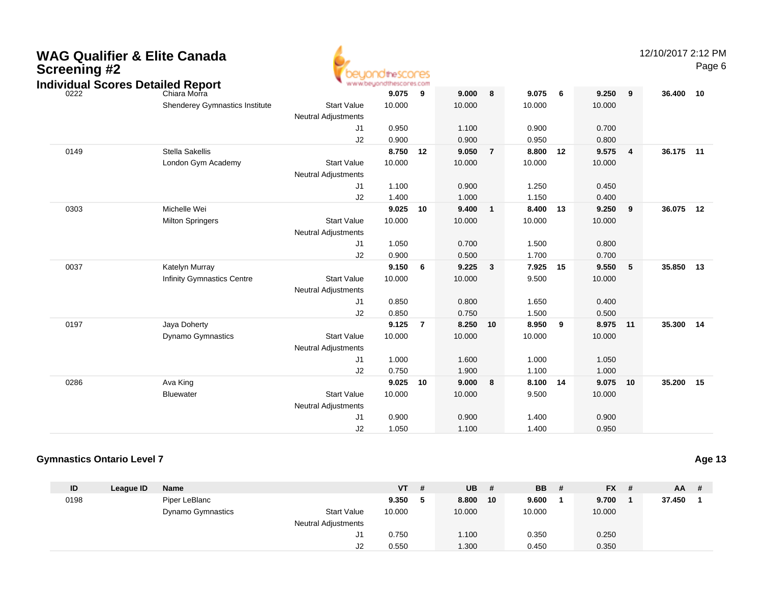| <b>WAG Qualifier &amp; Elite Canada</b><br><b>Screening #2</b><br><b>Individual Scores Detailed Report</b> |                                   |                                                  | thescores<br>www.beyondthescores.com |                |        |                |          |     |          |                | 12/10/2017 2:12 PM | Page 6 |
|------------------------------------------------------------------------------------------------------------|-----------------------------------|--------------------------------------------------|--------------------------------------|----------------|--------|----------------|----------|-----|----------|----------------|--------------------|--------|
| 0222                                                                                                       | Chiara Morra                      |                                                  | 9.075                                | 9              | 9.000  | 8              | 9.075    | - 6 | 9.250    | 9              | 36.400 10          |        |
|                                                                                                            | Shenderey Gymnastics Institute    | <b>Start Value</b>                               | 10.000                               |                | 10.000 |                | 10.000   |     | 10.000   |                |                    |        |
|                                                                                                            |                                   | Neutral Adjustments                              |                                      |                |        |                |          |     |          |                |                    |        |
|                                                                                                            |                                   | J1                                               | 0.950                                |                | 1.100  |                | 0.900    |     | 0.700    |                |                    |        |
|                                                                                                            |                                   | J2                                               | 0.900                                |                | 0.900  |                | 0.950    |     | 0.800    |                |                    |        |
| 0149                                                                                                       | <b>Stella Sakellis</b>            |                                                  | 8.750                                | 12             | 9.050  | $\overline{7}$ | 8.800    | 12  | 9.575    | $\overline{4}$ | 36.175             | 11     |
|                                                                                                            | London Gym Academy                | <b>Start Value</b><br><b>Neutral Adjustments</b> | 10.000                               |                | 10.000 |                | 10.000   |     | 10.000   |                |                    |        |
|                                                                                                            |                                   | J1                                               | 1.100                                |                | 0.900  |                | 1.250    |     | 0.450    |                |                    |        |
|                                                                                                            |                                   | J2                                               | 1.400                                |                | 1.000  |                | 1.150    |     | 0.400    |                |                    |        |
| 0303                                                                                                       | Michelle Wei                      |                                                  | 9.025                                | 10             | 9.400  | $\mathbf{1}$   | 8.400    | 13  | 9.250    | 9              | 36.075             | 12     |
|                                                                                                            | <b>Milton Springers</b>           | <b>Start Value</b>                               | 10.000                               |                | 10.000 |                | 10.000   |     | 10.000   |                |                    |        |
|                                                                                                            |                                   | <b>Neutral Adjustments</b>                       |                                      |                |        |                |          |     |          |                |                    |        |
|                                                                                                            |                                   | J1                                               | 1.050                                |                | 0.700  |                | 1.500    |     | 0.800    |                |                    |        |
|                                                                                                            |                                   | J2                                               | 0.900                                |                | 0.500  |                | 1.700    |     | 0.700    |                |                    |        |
| 0037                                                                                                       | Katelyn Murray                    |                                                  | 9.150                                | 6              | 9.225  | $\mathbf{3}$   | 7.925    | 15  | 9.550    | 5              | 35.850             | 13     |
|                                                                                                            | <b>Infinity Gymnastics Centre</b> | <b>Start Value</b>                               | 10.000                               |                | 10.000 |                | 9.500    |     | 10.000   |                |                    |        |
|                                                                                                            |                                   | <b>Neutral Adjustments</b>                       |                                      |                |        |                |          |     |          |                |                    |        |
|                                                                                                            |                                   | J1                                               | 0.850                                |                | 0.800  |                | 1.650    |     | 0.400    |                |                    |        |
|                                                                                                            |                                   | J2                                               | 0.850                                |                | 0.750  |                | 1.500    |     | 0.500    |                |                    |        |
| 0197                                                                                                       | Jaya Doherty                      |                                                  | 9.125                                | $\overline{7}$ | 8.250  | 10             | 8.950    | 9   | 8.975 11 |                | 35.300 14          |        |
|                                                                                                            | <b>Dynamo Gymnastics</b>          | <b>Start Value</b>                               | 10.000                               |                | 10.000 |                | 10.000   |     | 10.000   |                |                    |        |
|                                                                                                            |                                   | <b>Neutral Adjustments</b>                       |                                      |                |        |                |          |     |          |                |                    |        |
|                                                                                                            |                                   | J1                                               | 1.000                                |                | 1.600  |                | 1.000    |     | 1.050    |                |                    |        |
|                                                                                                            |                                   | J2                                               | 0.750                                |                | 1.900  |                | 1.100    |     | 1.000    |                |                    |        |
| 0286                                                                                                       | Ava King                          |                                                  | 9.025                                | 10             | 9.000  | 8              | 8.100 14 |     | 9.075    | 10             | 35.200             | 15     |
|                                                                                                            | <b>Bluewater</b>                  | <b>Start Value</b>                               | 10.000                               |                | 10.000 |                | 9.500    |     | 10.000   |                |                    |        |
|                                                                                                            |                                   | Neutral Adjustments                              |                                      |                |        |                |          |     |          |                |                    |        |
|                                                                                                            |                                   | J1                                               | 0.900                                |                | 0.900  |                | 1.400    |     | 0.900    |                |                    |        |
|                                                                                                            |                                   | J2                                               | 1.050                                |                | 1.100  |                | 1.400    |     | 0.950    |                |                    |        |

#### **Gymnastics Ontario Level 7Age 13**

| ID   | League ID | Name                     |                            | <b>VT</b> | #   | <b>UB</b> | #  | <b>BB</b> | # | $FX$ # | $AA$ # |  |
|------|-----------|--------------------------|----------------------------|-----------|-----|-----------|----|-----------|---|--------|--------|--|
| 0198 |           | Piper LeBlanc            |                            | 9.350     | - 5 | 8.800     | 10 | 9.600     |   | 9.700  | 37.450 |  |
|      |           | <b>Dynamo Gymnastics</b> | <b>Start Value</b>         | 10.000    |     | 10.000    |    | 10.000    |   | 10.000 |        |  |
|      |           |                          | <b>Neutral Adjustments</b> |           |     |           |    |           |   |        |        |  |
|      |           |                          | J1                         | 0.750     |     | 1.100     |    | 0.350     |   | 0.250  |        |  |
|      |           |                          | J2                         | 0.550     |     | 1.300     |    | 0.450     |   | 0.350  |        |  |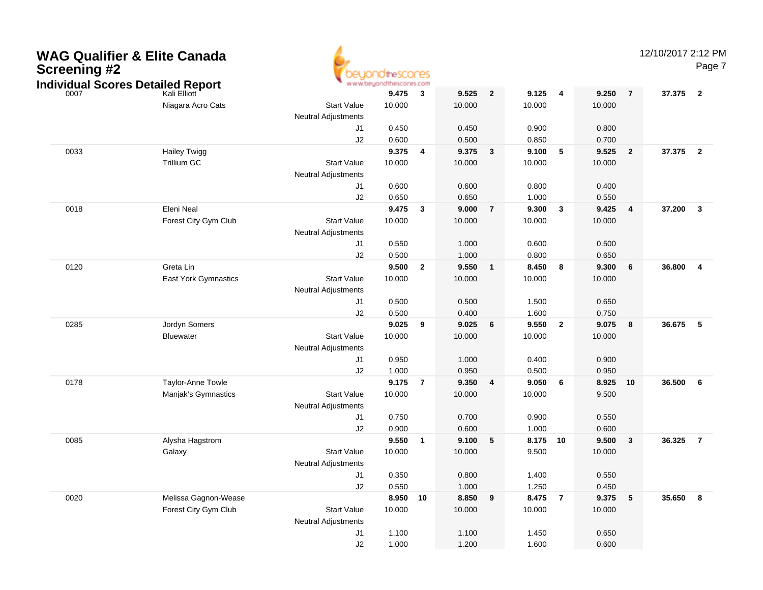| <b>WAG Qualifier &amp; Elite Canada</b><br><b>Screening #2</b><br><b>Individual Scores Detailed Report</b><br>Kali Elliott |                                          | www.beyond                                       | )OtheSCONES     |                |                 |                |                 |                         |                 |                | 12/10/2017 2:12 PM | Page 7                  |
|----------------------------------------------------------------------------------------------------------------------------|------------------------------------------|--------------------------------------------------|-----------------|----------------|-----------------|----------------|-----------------|-------------------------|-----------------|----------------|--------------------|-------------------------|
|                                                                                                                            | Niagara Acro Cats                        | <b>Start Value</b><br><b>Neutral Adjustments</b> | 9.475<br>10.000 | 3              | 9.525<br>10.000 | $\overline{2}$ | 9.125<br>10.000 | $\overline{\mathbf{4}}$ | 9.250<br>10.000 | $\overline{7}$ | 37.375             | $\overline{\mathbf{2}}$ |
|                                                                                                                            |                                          | J <sub>1</sub>                                   | 0.450           |                | 0.450           |                | 0.900           |                         | 0.800           |                |                    |                         |
|                                                                                                                            |                                          | J2                                               | 0.600           |                | 0.500           |                | 0.850           |                         | 0.700           |                |                    |                         |
| 0033                                                                                                                       | <b>Hailey Twigg</b>                      |                                                  | 9.375           | 4              | 9.375           | $\mathbf{3}$   | 9.100           | 5                       | 9.525           | $\overline{2}$ | 37.375             | $\overline{2}$          |
|                                                                                                                            | <b>Trillium GC</b>                       | <b>Start Value</b><br><b>Neutral Adjustments</b> | 10.000          |                | 10.000          |                | 10.000          |                         | 10.000          |                |                    |                         |
|                                                                                                                            |                                          | J <sub>1</sub>                                   | 0.600           |                | 0.600           |                | 0.800           |                         | 0.400           |                |                    |                         |
|                                                                                                                            |                                          | J2                                               | 0.650           |                | 0.650           |                | 1.000           |                         | 0.550           |                |                    |                         |
| 0018                                                                                                                       | Eleni Neal                               |                                                  | 9.475           | 3              | 9.000           | $\overline{7}$ | 9.300           | 3                       | 9.425           | 4              | 37.200             | $\mathbf{3}$            |
|                                                                                                                            | Forest City Gym Club                     | <b>Start Value</b><br><b>Neutral Adjustments</b> | 10.000          |                | 10.000          |                | 10.000          |                         | 10.000          |                |                    |                         |
|                                                                                                                            |                                          | J <sub>1</sub>                                   | 0.550           |                | 1.000           |                | 0.600           |                         | 0.500           |                |                    |                         |
|                                                                                                                            |                                          | J2                                               | 0.500           |                | 1.000           |                | 0.800           |                         | 0.650           |                |                    |                         |
| 0120                                                                                                                       | Greta Lin                                |                                                  | 9.500           | $\overline{2}$ | 9.550           | $\mathbf{1}$   | 8.450           | 8                       | 9.300           | 6              | 36.800             | $\overline{\mathbf{4}}$ |
|                                                                                                                            | <b>East York Gymnastics</b>              | <b>Start Value</b><br><b>Neutral Adjustments</b> | 10.000          |                | 10.000          |                | 10.000          |                         | 10.000          |                |                    |                         |
|                                                                                                                            |                                          | J <sub>1</sub>                                   | 0.500           |                | 0.500           |                | 1.500           |                         | 0.650           |                |                    |                         |
|                                                                                                                            |                                          | J <sub>2</sub>                                   | 0.500           |                | 0.400           |                | 1.600           |                         | 0.750           |                |                    |                         |
| 0285                                                                                                                       | Jordyn Somers                            |                                                  | 9.025           | 9              | 9.025           | 6              | 9.550           | $\overline{2}$          | 9.075           | 8              | 36.675             | 5                       |
|                                                                                                                            | <b>Bluewater</b>                         | <b>Start Value</b>                               | 10.000          |                | 10.000          |                | 10.000          |                         | 10.000          |                |                    |                         |
|                                                                                                                            |                                          | <b>Neutral Adjustments</b>                       |                 |                |                 |                |                 |                         |                 |                |                    |                         |
|                                                                                                                            |                                          | J <sub>1</sub>                                   | 0.950           |                | 1.000           |                | 0.400           |                         | 0.900           |                |                    |                         |
|                                                                                                                            |                                          | J <sub>2</sub>                                   | 1.000           | $\overline{7}$ | 0.950           | 4              | 0.500           |                         | 0.950           |                |                    | 6                       |
| 0178                                                                                                                       | Taylor-Anne Towle<br>Manjak's Gymnastics | <b>Start Value</b>                               | 9.175<br>10.000 |                | 9.350<br>10.000 |                | 9.050<br>10.000 | 6                       | 8.925<br>9.500  | 10             | 36.500             |                         |
|                                                                                                                            |                                          | <b>Neutral Adjustments</b>                       |                 |                |                 |                |                 |                         |                 |                |                    |                         |
|                                                                                                                            |                                          | J <sub>1</sub>                                   | 0.750           |                | 0.700           |                | 0.900           |                         | 0.550           |                |                    |                         |
|                                                                                                                            |                                          | J <sub>2</sub>                                   | 0.900           |                | 0.600           |                | 1.000           |                         | 0.600           |                |                    |                         |
| 0085                                                                                                                       | Alysha Hagstrom                          |                                                  | 9.550           | $\mathbf{1}$   | 9.100           | 5              | 8.175           | 10                      | 9.500           | $\mathbf{3}$   | 36.325             | $\overline{7}$          |
|                                                                                                                            | Galaxy                                   | <b>Start Value</b><br><b>Neutral Adjustments</b> | 10.000          |                | 10.000          |                | 9.500           |                         | 10.000          |                |                    |                         |
|                                                                                                                            |                                          | J1.                                              | 0.350           |                | 0.800           |                | 1.400           |                         | 0.550           |                |                    |                         |
|                                                                                                                            |                                          | J <sub>2</sub>                                   | 0.550           |                | 1.000           |                | 1.250           |                         | 0.450           |                |                    |                         |
| 0020                                                                                                                       | Melissa Gagnon-Wease                     |                                                  | 8.950 10        |                | 8.850           | 9              | 8.475 7         |                         | 9.375           | $\sqrt{5}$     | 35.650 8           |                         |
|                                                                                                                            | Forest City Gym Club                     | <b>Start Value</b><br><b>Neutral Adjustments</b> | 10.000          |                | 10.000          |                | 10.000          |                         | 10.000          |                |                    |                         |
|                                                                                                                            |                                          | J1                                               | 1.100           |                | 1.100           |                | 1.450           |                         | 0.650           |                |                    |                         |
|                                                                                                                            |                                          | J2                                               | 1.000           |                | 1.200           |                | 1.600           |                         | 0.600           |                |                    |                         |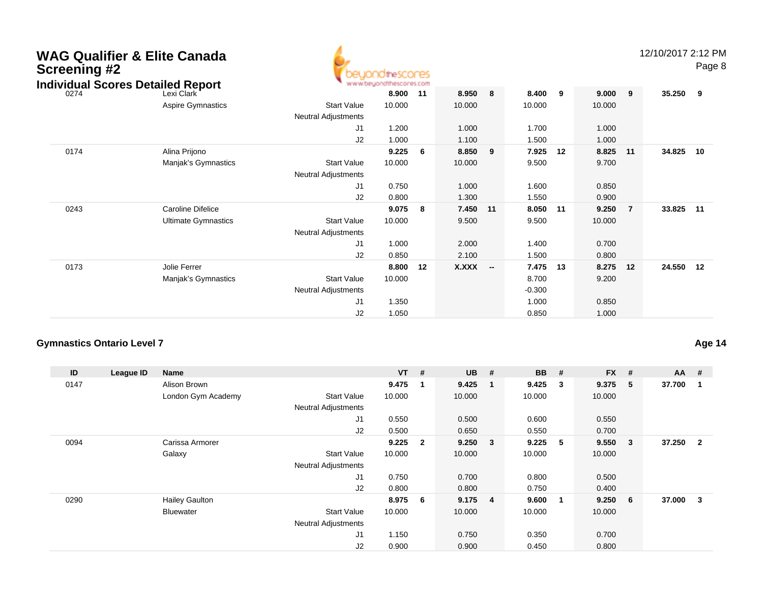| <b>Screening #2</b> | <b>WAG Qualifier &amp; Elite Canada</b><br><b>Individual Scores Detailed Report</b> | <b>notineScores</b><br>www.beyondthescores.com |     |              |                          |                   |    |        |                | 12/10/2017 2:12 PM | Page 8 |
|---------------------|-------------------------------------------------------------------------------------|------------------------------------------------|-----|--------------|--------------------------|-------------------|----|--------|----------------|--------------------|--------|
| 0274                | Lexi Clark                                                                          | 8.900                                          | 11  | 8.950        | 8                        | 8.400             | 9  | 9.000  | 9              | 35.250             | - 9    |
|                     | Aspire Gymnastics<br><b>Start Value</b><br>Neutral Adjustments                      | 10.000                                         |     | 10.000       |                          | 10.000            |    | 10.000 |                |                    |        |
|                     |                                                                                     | J1<br>1.200                                    |     | 1.000        |                          | 1.700             |    | 1.000  |                |                    |        |
|                     |                                                                                     | J <sub>2</sub><br>1.000                        |     | 1.100        |                          | 1.500             |    | 1.000  |                |                    |        |
| 0174                | Alina Prijono                                                                       | 9.225                                          | 6   | 8.850        | 9                        | 7.925             | 12 | 8.825  | 11             | 34.825             | 10     |
|                     | Manjak's Gymnastics<br><b>Start Value</b><br>Neutral Adjustments                    | 10.000                                         |     | 10.000       |                          | 9.500             |    | 9.700  |                |                    |        |
|                     |                                                                                     | 0.750<br>J1                                    |     | 1.000        |                          | 1.600             |    | 0.850  |                |                    |        |
|                     |                                                                                     | J2<br>0.800                                    |     | 1.300        |                          | 1.550             |    | 0.900  |                |                    |        |
| 0243                | Caroline Difelice                                                                   | 9.075                                          | - 8 | 7.450        | 11                       | 8.050             | 11 | 9.250  | $\overline{7}$ | 33.825             | 11     |
|                     | <b>Ultimate Gymnastics</b><br><b>Start Value</b><br><b>Neutral Adjustments</b>      | 10.000                                         |     | 9.500        |                          | 9.500             |    | 10.000 |                |                    |        |
|                     | J <sub>1</sub>                                                                      | 1.000                                          |     | 2.000        |                          | 1.400             |    | 0.700  |                |                    |        |
|                     |                                                                                     | J <sub>2</sub><br>0.850                        |     | 2.100        |                          | 1.500             |    | 0.800  |                |                    |        |
| 0173                | Jolie Ferrer                                                                        | 8.800                                          | 12  | <b>X.XXX</b> | $\overline{\phantom{a}}$ | 7.475             | 13 | 8.275  | 12             | 24.550             | 12     |
|                     | <b>Start Value</b><br>Manjak's Gymnastics<br>Neutral Adjustments                    | 10.000                                         |     |              |                          | 8.700<br>$-0.300$ |    | 9.200  |                |                    |        |
|                     | J <sub>1</sub>                                                                      | 1.350                                          |     |              |                          | 1.000             |    | 0.850  |                |                    |        |
|                     |                                                                                     | J <sub>2</sub><br>1.050                        |     |              |                          | 0.850             |    | 1.000  |                |                    |        |

# **Gymnastics Ontario Level 7**

| ID   | League ID | <b>Name</b>           |                            | $VT$ #    | <b>UB</b> | #                       | <b>BB</b> | #            | <b>FX</b> | # | $AA$ # |                         |
|------|-----------|-----------------------|----------------------------|-----------|-----------|-------------------------|-----------|--------------|-----------|---|--------|-------------------------|
| 0147 |           | Alison Brown          |                            | 9.475     | 9.425     | - 1                     | 9.425     | $\mathbf{3}$ | 9.375     | 5 | 37.700 | 1                       |
|      |           | London Gym Academy    | <b>Start Value</b>         | 10.000    | 10.000    |                         | 10.000    |              | 10.000    |   |        |                         |
|      |           |                       | <b>Neutral Adjustments</b> |           |           |                         |           |              |           |   |        |                         |
|      |           |                       | J1                         | 0.550     | 0.500     |                         | 0.600     |              | 0.550     |   |        |                         |
|      |           |                       | J2                         | 0.500     | 0.650     |                         | 0.550     |              | 0.700     |   |        |                         |
| 0094 |           | Carissa Armorer       |                            | $9.225$ 2 | 9.250     | $\overline{\mathbf{3}}$ | 9.225     | -5           | 9.550     | 3 | 37.250 | $\overline{\mathbf{2}}$ |
|      |           | Galaxy                | <b>Start Value</b>         | 10.000    | 10.000    |                         | 10.000    |              | 10.000    |   |        |                         |
|      |           |                       | <b>Neutral Adjustments</b> |           |           |                         |           |              |           |   |        |                         |
|      |           |                       | J <sub>1</sub>             | 0.750     | 0.700     |                         | 0.800     |              | 0.500     |   |        |                         |
|      |           |                       | J2                         | 0.800     | 0.800     |                         | 0.750     |              | 0.400     |   |        |                         |
| 0290 |           | <b>Hailey Gaulton</b> |                            | 8.975 6   | 9.175 4   |                         | 9.600     | - 1          | 9.250     | 6 | 37.000 | 3                       |
|      |           | Bluewater             | <b>Start Value</b>         | 10.000    | 10.000    |                         | 10.000    |              | 10.000    |   |        |                         |
|      |           |                       | <b>Neutral Adjustments</b> |           |           |                         |           |              |           |   |        |                         |
|      |           |                       | J1                         | 1.150     | 0.750     |                         | 0.350     |              | 0.700     |   |        |                         |
|      |           |                       | J2                         | 0.900     | 0.900     |                         | 0.450     |              | 0.800     |   |        |                         |

# **Age 14**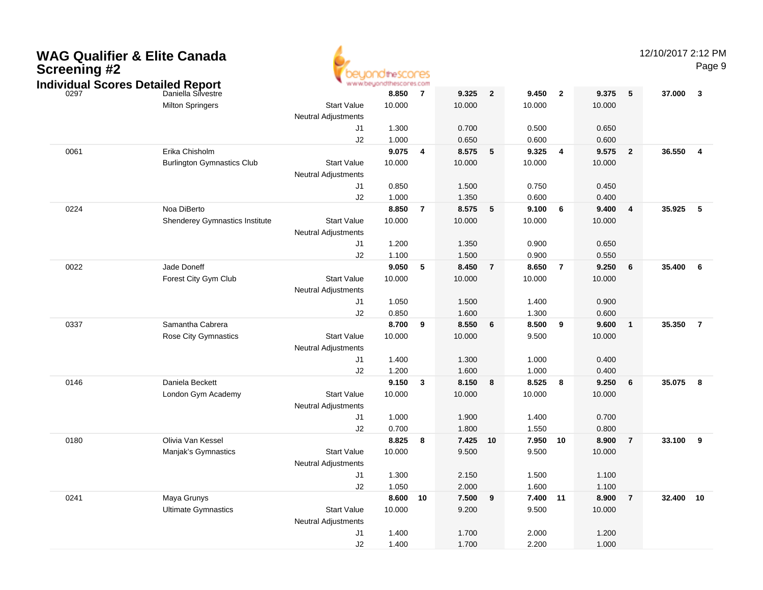| <b>WAG Qualifier &amp; Elite Canada</b><br><b>Screening #2</b><br><b>Individual Scores Detailed Report</b> |                                                     | www.beyond                                       | theSCONES<br>hescores.com |                |                 |                |                   |                         |                 |                | 12/10/2017 2:12 PM | Page 9                  |
|------------------------------------------------------------------------------------------------------------|-----------------------------------------------------|--------------------------------------------------|---------------------------|----------------|-----------------|----------------|-------------------|-------------------------|-----------------|----------------|--------------------|-------------------------|
| 0297                                                                                                       | Daniella Silvestre<br><b>Milton Springers</b>       | <b>Start Value</b><br><b>Neutral Adjustments</b> | 8.850<br>10.000           | $\overline{7}$ | 9.325<br>10.000 | $\overline{2}$ | 9.450<br>10.000   | $\overline{\mathbf{2}}$ | 9.375<br>10.000 | 5              | 37.000             | $\mathbf{3}$            |
|                                                                                                            |                                                     | J1<br>J2                                         | 1.300<br>1.000            |                | 0.700<br>0.650  |                | 0.500<br>0.600    |                         | 0.650<br>0.600  |                |                    |                         |
| 0061                                                                                                       | Erika Chisholm<br><b>Burlington Gymnastics Club</b> | <b>Start Value</b><br><b>Neutral Adjustments</b> | 9.075<br>10.000           | $\overline{4}$ | 8.575<br>10.000 | 5              | 9.325<br>10.000   | 4                       | 9.575<br>10.000 | $\overline{2}$ | 36.550             | $\overline{4}$          |
|                                                                                                            |                                                     | J1<br>J2                                         | 0.850<br>1.000            |                | 1.500<br>1.350  |                | 0.750<br>0.600    |                         | 0.450<br>0.400  |                |                    |                         |
| 0224                                                                                                       | Noa DiBerto<br>Shenderey Gymnastics Institute       | <b>Start Value</b><br><b>Neutral Adjustments</b> | 8.850<br>10.000           | $\overline{7}$ | 8.575<br>10.000 | 5              | 9.100<br>10.000   | 6                       | 9.400<br>10.000 | 4              | 35.925             | 5                       |
|                                                                                                            |                                                     | J1<br>J2                                         | 1.200<br>1.100            |                | 1.350<br>1.500  |                | 0.900<br>0.900    |                         | 0.650<br>0.550  |                |                    |                         |
| 0022                                                                                                       | Jade Doneff<br>Forest City Gym Club                 | <b>Start Value</b><br><b>Neutral Adjustments</b> | 9.050<br>10.000           | 5              | 8.450<br>10.000 | $\overline{7}$ | 8.650<br>10.000   | $\overline{7}$          | 9.250<br>10.000 | 6              | 35.400             | 6                       |
|                                                                                                            |                                                     | J1<br>J2                                         | 1.050<br>0.850            |                | 1.500<br>1.600  |                | 1.400<br>1.300    |                         | 0.900<br>0.600  |                |                    |                         |
| 0337                                                                                                       | Samantha Cabrera<br>Rose City Gymnastics            | <b>Start Value</b><br><b>Neutral Adjustments</b> | 8.700<br>10.000           | 9              | 8.550<br>10.000 | 6              | 8.500<br>9.500    | 9                       | 9.600<br>10.000 | $\mathbf{1}$   | 35.350             | $\overline{7}$          |
|                                                                                                            |                                                     | J1<br>J2                                         | 1.400<br>1.200            |                | 1.300<br>1.600  |                | 1.000<br>1.000    |                         | 0.400<br>0.400  |                |                    |                         |
| 0146                                                                                                       | Daniela Beckett<br>London Gym Academy               | <b>Start Value</b><br><b>Neutral Adjustments</b> | 9.150<br>10.000           | 3              | 8.150<br>10.000 | 8              | 8.525<br>10.000   | 8                       | 9.250<br>10.000 | 6              | 35.075             | $\overline{\mathbf{8}}$ |
|                                                                                                            |                                                     | J1<br>J2                                         | 1.000<br>0.700            |                | 1.900<br>1.800  |                | 1.400<br>1.550    |                         | 0.700<br>0.800  |                |                    |                         |
| 0180                                                                                                       | Olivia Van Kessel<br>Manjak's Gymnastics            | <b>Start Value</b><br><b>Neutral Adjustments</b> | 8.825<br>10.000           | 8              | 7.425<br>9.500  | 10             | 7.950<br>9.500    | 10                      | 8.900<br>10.000 | $\overline{7}$ | 33.100             | $_{9}$                  |
|                                                                                                            |                                                     | J1<br>J2                                         | 1.300<br>1.050            |                | 2.150<br>2.000  |                | 1.500<br>1.600    |                         | 1.100<br>1.100  |                |                    |                         |
| 0241                                                                                                       | Maya Grunys<br><b>Ultimate Gymnastics</b>           | <b>Start Value</b><br><b>Neutral Adjustments</b> | 8.600 10<br>10.000        |                | 7.500<br>9.200  | 9              | 7.400 11<br>9.500 |                         | 8.900<br>10.000 | $\overline{7}$ | 32.400 10          |                         |
|                                                                                                            |                                                     | J1<br>J2                                         | 1.400<br>1.400            |                | 1.700<br>1.700  |                | 2.000<br>2.200    |                         | 1.200<br>1.000  |                |                    |                         |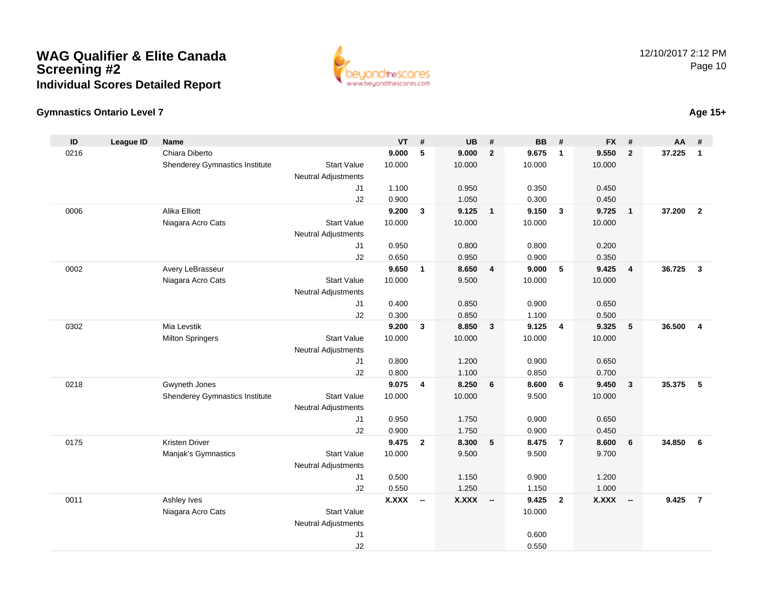

# **Gymnastics Ontario Level 7**

| ID   | <b>League ID</b> | <b>Name</b>                           |                                              | <b>VT</b>    | #              | <b>UB</b>    | #                        | <b>BB</b> | #                       | <b>FX</b>    | #                        | AA     | #                       |
|------|------------------|---------------------------------------|----------------------------------------------|--------------|----------------|--------------|--------------------------|-----------|-------------------------|--------------|--------------------------|--------|-------------------------|
| 0216 |                  | Chiara Diberto                        |                                              | 9.000        | 5              | 9.000        | $\overline{2}$           | 9.675     | $\mathbf 1$             | 9.550        | $\mathbf{2}$             | 37.225 | $\mathbf{1}$            |
|      |                  | <b>Shenderey Gymnastics Institute</b> | <b>Start Value</b>                           | 10.000       |                | 10.000       |                          | 10.000    |                         | 10.000       |                          |        |                         |
|      |                  |                                       | <b>Neutral Adjustments</b>                   |              |                |              |                          |           |                         |              |                          |        |                         |
|      |                  |                                       | J <sub>1</sub>                               | 1.100        |                | 0.950        |                          | 0.350     |                         | 0.450        |                          |        |                         |
|      |                  |                                       | J2                                           | 0.900        |                | 1.050        |                          | 0.300     |                         | 0.450        |                          |        |                         |
| 0006 |                  | Alika Elliott                         |                                              | 9.200        | $\mathbf{3}$   | 9.125        | $\overline{1}$           | 9.150     | $\overline{\mathbf{3}}$ | 9.725        | $\mathbf{1}$             | 37.200 | $\overline{2}$          |
|      |                  | Niagara Acro Cats                     | <b>Start Value</b>                           | 10.000       |                | 10.000       |                          | 10.000    |                         | 10.000       |                          |        |                         |
|      |                  |                                       | Neutral Adjustments                          |              |                |              |                          |           |                         |              |                          |        |                         |
|      |                  |                                       | J <sub>1</sub>                               | 0.950        |                | 0.800        |                          | 0.800     |                         | 0.200        |                          |        |                         |
|      |                  |                                       | J2                                           | 0.650        |                | 0.950        |                          | 0.900     |                         | 0.350        |                          |        |                         |
| 0002 |                  | Avery LeBrasseur                      |                                              | 9.650        | $\mathbf{1}$   | 8.650        | $\overline{\mathbf{4}}$  | 9.000     | $\sqrt{5}$              | 9.425        | $\overline{\mathbf{4}}$  | 36.725 | $\mathbf{3}$            |
|      |                  | Niagara Acro Cats                     | <b>Start Value</b>                           | 10.000       |                | 9.500        |                          | 10.000    |                         | 10.000       |                          |        |                         |
|      |                  |                                       | <b>Neutral Adjustments</b>                   |              |                |              |                          |           |                         |              |                          |        |                         |
|      |                  |                                       | J1                                           | 0.400        |                | 0.850        |                          | 0.900     |                         | 0.650        |                          |        |                         |
|      |                  |                                       | J2                                           | 0.300        |                | 0.850        |                          | 1.100     |                         | 0.500        |                          |        |                         |
| 0302 |                  | Mia Levstik                           | <b>Start Value</b>                           | 9.200        | 3              | 8.850        | $\overline{\mathbf{3}}$  | 9.125     | $\overline{4}$          | 9.325        | $5\phantom{.0}$          | 36.500 | $\overline{\mathbf{4}}$ |
|      |                  | <b>Milton Springers</b>               |                                              | 10.000       |                | 10.000       |                          | 10.000    |                         | 10.000       |                          |        |                         |
|      |                  |                                       | <b>Neutral Adjustments</b><br>J <sub>1</sub> | 0.800        |                | 1.200        |                          | 0.900     |                         | 0.650        |                          |        |                         |
|      |                  |                                       | J2                                           | 0.800        |                | 1.100        |                          | 0.850     |                         | 0.700        |                          |        |                         |
| 0218 |                  | Gwyneth Jones                         |                                              | 9.075        | $\overline{4}$ | 8.250        | 6                        | 8.600     | 6                       | 9.450        | $\overline{\mathbf{3}}$  | 35.375 | 5                       |
|      |                  | Shenderey Gymnastics Institute        | <b>Start Value</b>                           | 10.000       |                | 10.000       |                          | 9.500     |                         | 10.000       |                          |        |                         |
|      |                  |                                       | <b>Neutral Adjustments</b>                   |              |                |              |                          |           |                         |              |                          |        |                         |
|      |                  |                                       | J1                                           | 0.950        |                | 1.750        |                          | 0.900     |                         | 0.650        |                          |        |                         |
|      |                  |                                       | J2                                           | 0.900        |                | 1.750        |                          | 0.900     |                         | 0.450        |                          |        |                         |
| 0175 |                  | <b>Kristen Driver</b>                 |                                              | 9.475        | $\overline{2}$ | 8.300        | 5                        | 8.475     | $\overline{7}$          | 8.600        | 6                        | 34.850 | 6                       |
|      |                  | Manjak's Gymnastics                   | <b>Start Value</b>                           | 10.000       |                | 9.500        |                          | 9.500     |                         | 9.700        |                          |        |                         |
|      |                  |                                       | <b>Neutral Adjustments</b>                   |              |                |              |                          |           |                         |              |                          |        |                         |
|      |                  |                                       | J1                                           | 0.500        |                | 1.150        |                          | 0.900     |                         | 1.200        |                          |        |                         |
|      |                  |                                       | J2                                           | 0.550        |                | 1.250        |                          | 1.150     |                         | 1.000        |                          |        |                         |
| 0011 |                  | Ashley Ives                           |                                              | <b>X.XXX</b> | $\sim$         | <b>X.XXX</b> | $\overline{\phantom{a}}$ | 9.425     | $\overline{2}$          | <b>X.XXX</b> | $\overline{\phantom{a}}$ | 9.425  | $\overline{7}$          |
|      |                  | Niagara Acro Cats                     | <b>Start Value</b>                           |              |                |              |                          | 10.000    |                         |              |                          |        |                         |
|      |                  |                                       | <b>Neutral Adjustments</b>                   |              |                |              |                          |           |                         |              |                          |        |                         |
|      |                  |                                       | J1                                           |              |                |              |                          | 0.600     |                         |              |                          |        |                         |
|      |                  |                                       | J2                                           |              |                |              |                          | 0.550     |                         |              |                          |        |                         |

# **Age 15+**